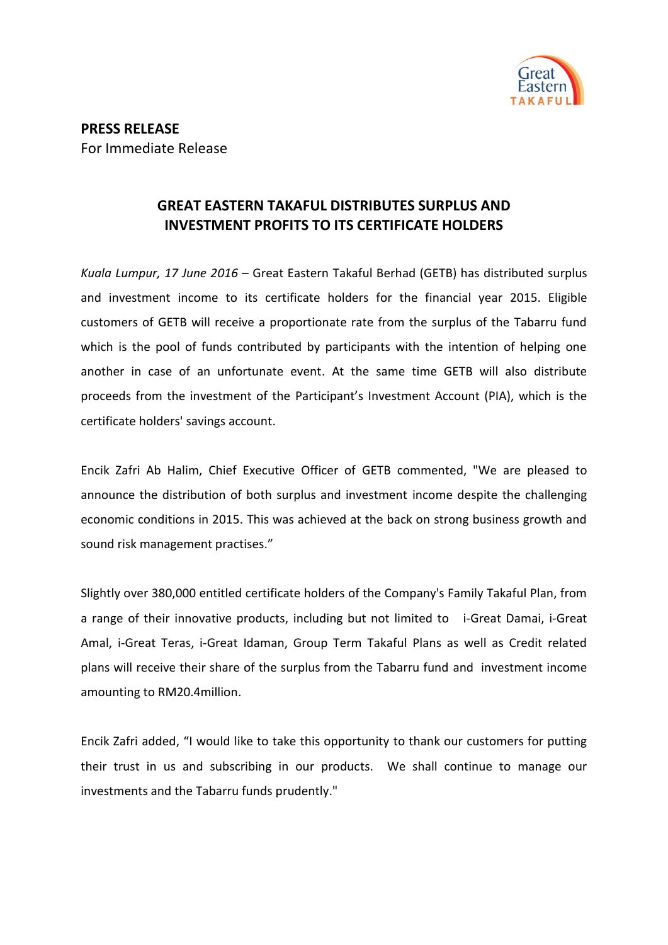

## **GREAT EASTERN TAKAFUL DISTRIBUTES SURPLUS AND INVESTMENT PROFITS TO ITS CERTIFICATE HOLDERS**

*Kuala Lumpur, 17 June 2016* – Great Eastern Takaful Berhad (GETB) has distributed surplus and investment income to its certificate holders for the financial year 2015. Eligible customers of GETB will receive a proportionate rate from the surplus of the Tabarru fund which is the pool of funds contributed by participants with the intention of helping one another in case of an unfortunate event. At the same time GETB will also distribute proceeds from the investment of the Participant's Investment Account (PIA), which is the certificate holders' savings account.

Encik Zafri Ab Halim, Chief Executive Officer of GETB commented, "We are pleased to announce the distribution of both surplus and investment income despite the challenging economic conditions in 2015. This was achieved at the back on strong business growth and sound risk management practises."

Slightly over 380,000 entitled certificate holders of the Company's Family Takaful Plan, from a range of their innovative products, including but not limited to i-Great Damai, i-Great Amal, i-Great Teras, i-Great Idaman, Group Term Takaful Plans as well as Credit related plans will receive their share of the surplus from the Tabarru fund and investment income amounting to RM20.4million.

Encik Zafri added, "I would like to take this opportunity to thank our customers for putting their trust in us and subscribing in our products. We shall continue to manage our investments and the Tabarru funds prudently."